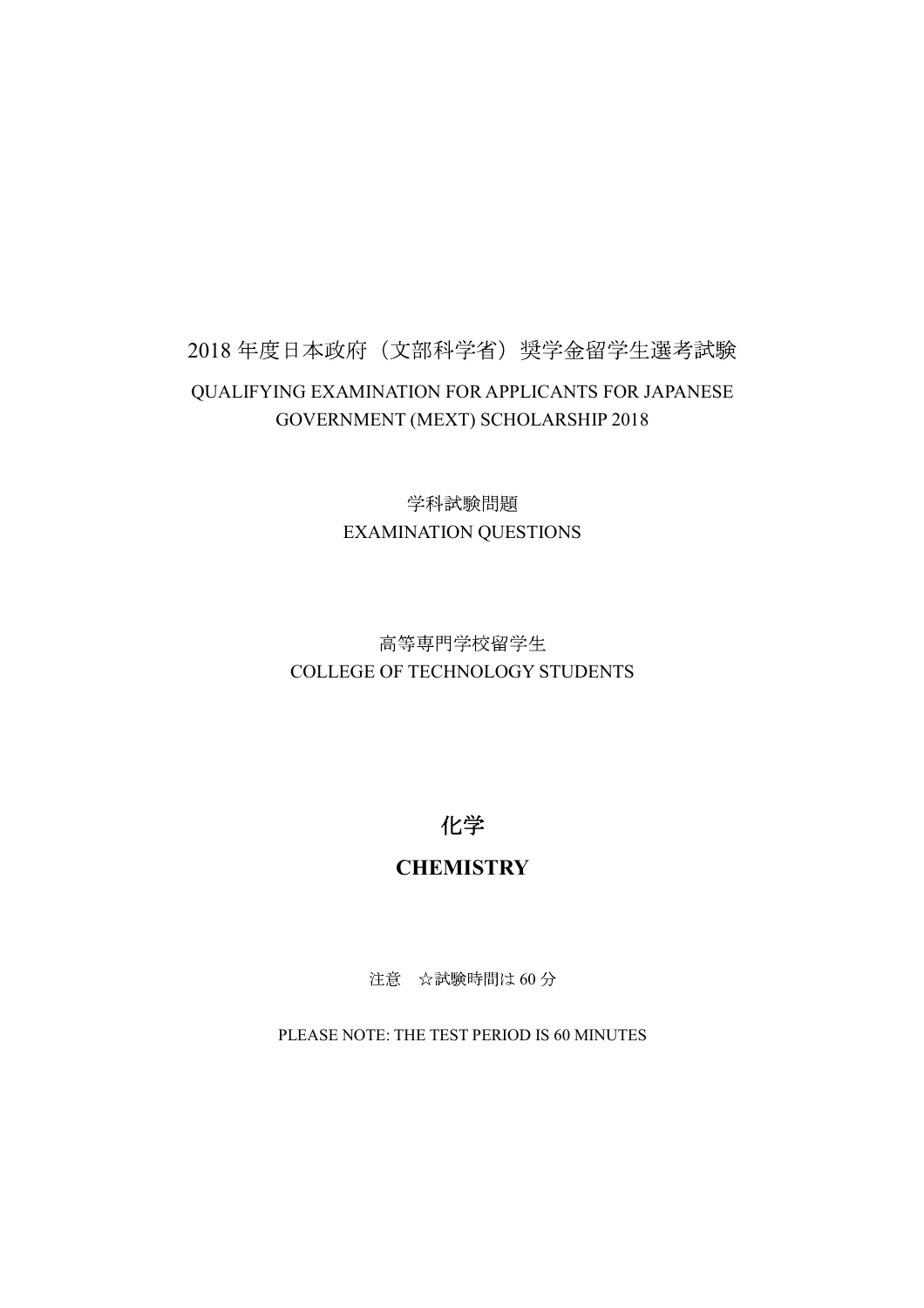## 2018年度日本政府(文部科学省) 奨学金留学生選考試験 QUALIFYING EXAMINATION FOR APPLICANTS FOR JAPANESE GOVERNMENT (MEXT) SCHOLARSHIP 2018

学科試験問題 EXAMINATION QUESTIONS

## 高等専門学校留学生 COLLEGE OF TECHNOLOGY STUDENTS

化学

## **CHEMISTRY**

注意 ☆試験時間は60分

PLEASE NOTE: THE TEST PERIOD IS 60 MINUTES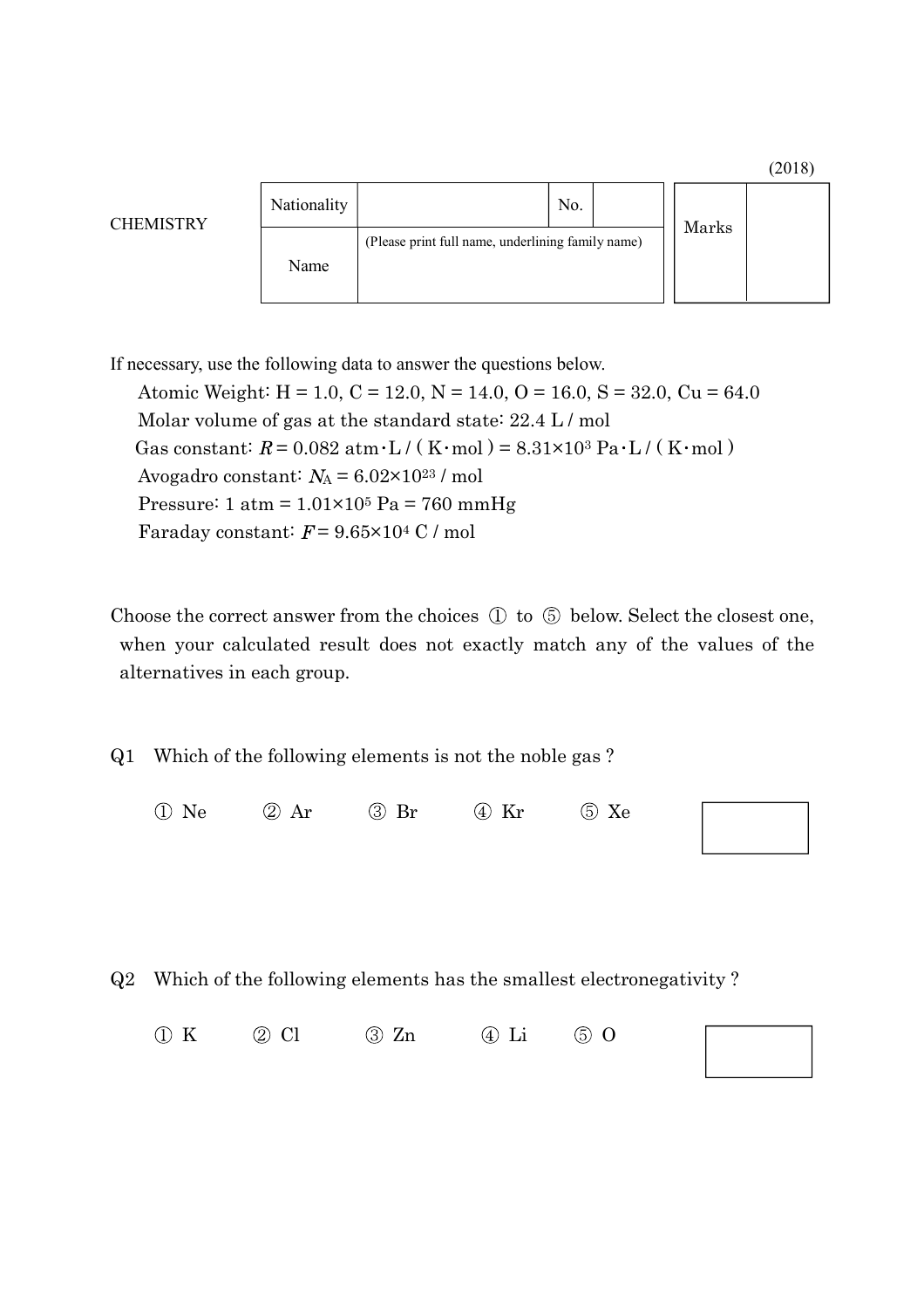

If necessary, use the following data to answer the questions below. Atomic Weight:  $H = 1.0$ ,  $C = 12.0$ ,  $N = 14.0$ ,  $O = 16.0$ ,  $S = 32.0$ ,  $Cu = 64.0$ Molar volume of gas at the standard state: 22.4 L / mol Gas constant:  $R = 0.082$  atm  $\cdot$  L / (K  $\cdot$  mol) = 8.31×10<sup>3</sup> Pa $\cdot$  L / (K $\cdot$  mol) Avogadro constant:  $N_A = 6.02 \times 10^{23}$  / mol Pressure:  $1 \text{ atm} = 1.01 \times 10^5 \text{ Pa} = 760 \text{ mmHg}$ Faraday constant:  $F = 9.65 \times 10^4$  C / mol

Choose the correct answer from the choices  $\circled{1}$  to  $\circled{5}$  below. Select the closest one, when your calculated result does not exactly match any of the values of the alternatives in each group.

Q1 Which of the following elements is not the noble gas ?

Ne  $\oslash$  Ar  $\oslash$  Br  $\oslash$  Kr  $\oslash$  Xe



Q2 Which of the following elements has the smallest electronegativity ?

 $(1)$  K  $(2)$  Cl  $(3)$  Zn  $(4)$  Li  $(5)$  O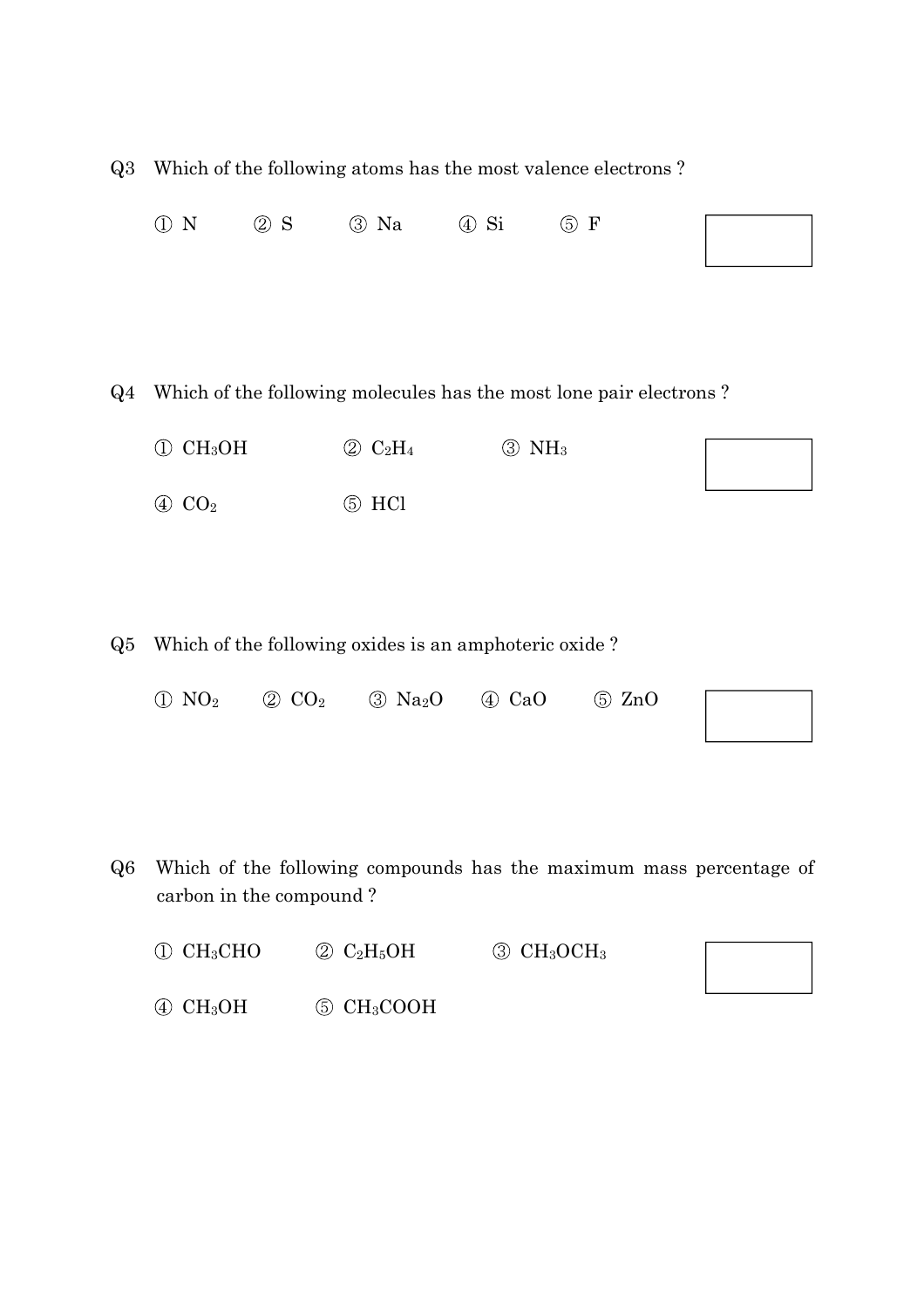| Q3    | Which of the following atoms has the most valence electrons? |                           |                                                                 |                             |                                                                    |  |
|-------|--------------------------------------------------------------|---------------------------|-----------------------------------------------------------------|-----------------------------|--------------------------------------------------------------------|--|
|       | $\odot$ N                                                    | $\oslash$ S               | $\circledS$ Na                                                  | $\circled{4}$ Si            | $\circledcirc$ F                                                   |  |
| $Q_4$ |                                                              |                           |                                                                 |                             | Which of the following molecules has the most lone pair electrons? |  |
|       | CH <sub>3</sub> OH<br>$\bigcirc$<br>$\oplus$ CO <sub>2</sub> |                           | $\circledcirc$ C <sub>2</sub> H <sub>4</sub><br>$\circledS$ HCl | $\circledS$ NH <sub>3</sub> |                                                                    |  |
| Q5    |                                                              |                           | Which of the following oxides is an amphoteric oxide?           |                             |                                                                    |  |
|       | NO <sub>2</sub><br>$\bigcirc$                                | $\oslash$ CO <sub>2</sub> | $\circled{3}$ Na <sub>2</sub> O                                 | $\oplus$ CaO                | $\circ$ ZnO                                                        |  |

Q6 Which of the following compounds has the maximum mass percentage of carbon in the compound ?

| $\mathbb{O}$ CH <sub>3</sub> CHO     | $\circledcirc$ C <sub>2</sub> H <sub>5</sub> OH | $\circled{3}$ CH <sub>3</sub> OCH <sub>3</sub> |  |
|--------------------------------------|-------------------------------------------------|------------------------------------------------|--|
| $\textcircled{4}$ CH <sub>3</sub> OH | $\circledS$ CH <sub>3</sub> COOH                |                                                |  |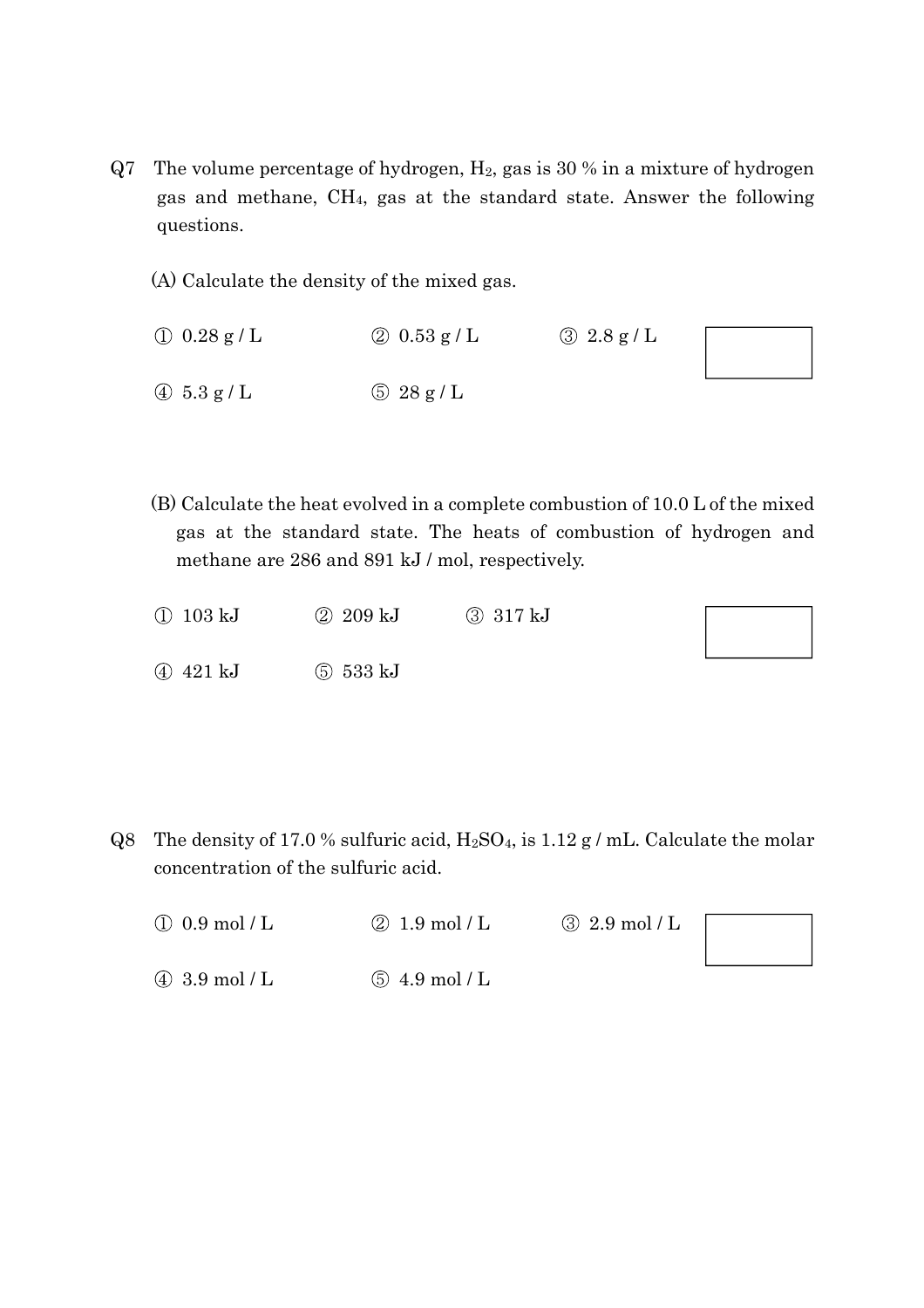- Q7 The volume percentage of hydrogen, H2, gas is 30 % in a mixture of hydrogen gas and methane, CH4, gas at the standard state. Answer the following questions.
	- (A) Calculate the density of the mixed gas.
	- $(1)$  0.28 g / L  $(2)$  0.53 g / L  $(3)$  2.8 g / L  $\textcircled{4}$  5.3 g / L  $\textcircled{5}$  28 g / L
	- (B) Calculate the heat evolved in a complete combustion of 10.0 L of the mixed gas at the standard state. The heats of combustion of hydrogen and methane are 286 and 891 kJ / mol, respectively.
	- 103 kJ 209 kJ 317 kJ 421 kJ 533 kJ

Q8 The density of 17.0 % sulfuric acid,  $H_2SO_4$ , is 1.12 g / mL. Calculate the molar concentration of the sulfuric acid.

| $\Omega$ 0.9 mol / L          | $\textcircled{2}$ 1.9 mol / L | $\textcircled{3}$ 2.9 mol / L |
|-------------------------------|-------------------------------|-------------------------------|
|                               |                               |                               |
| $\textcircled{4}$ 3.9 mol / L | $(5)$ 4.9 mol / L             |                               |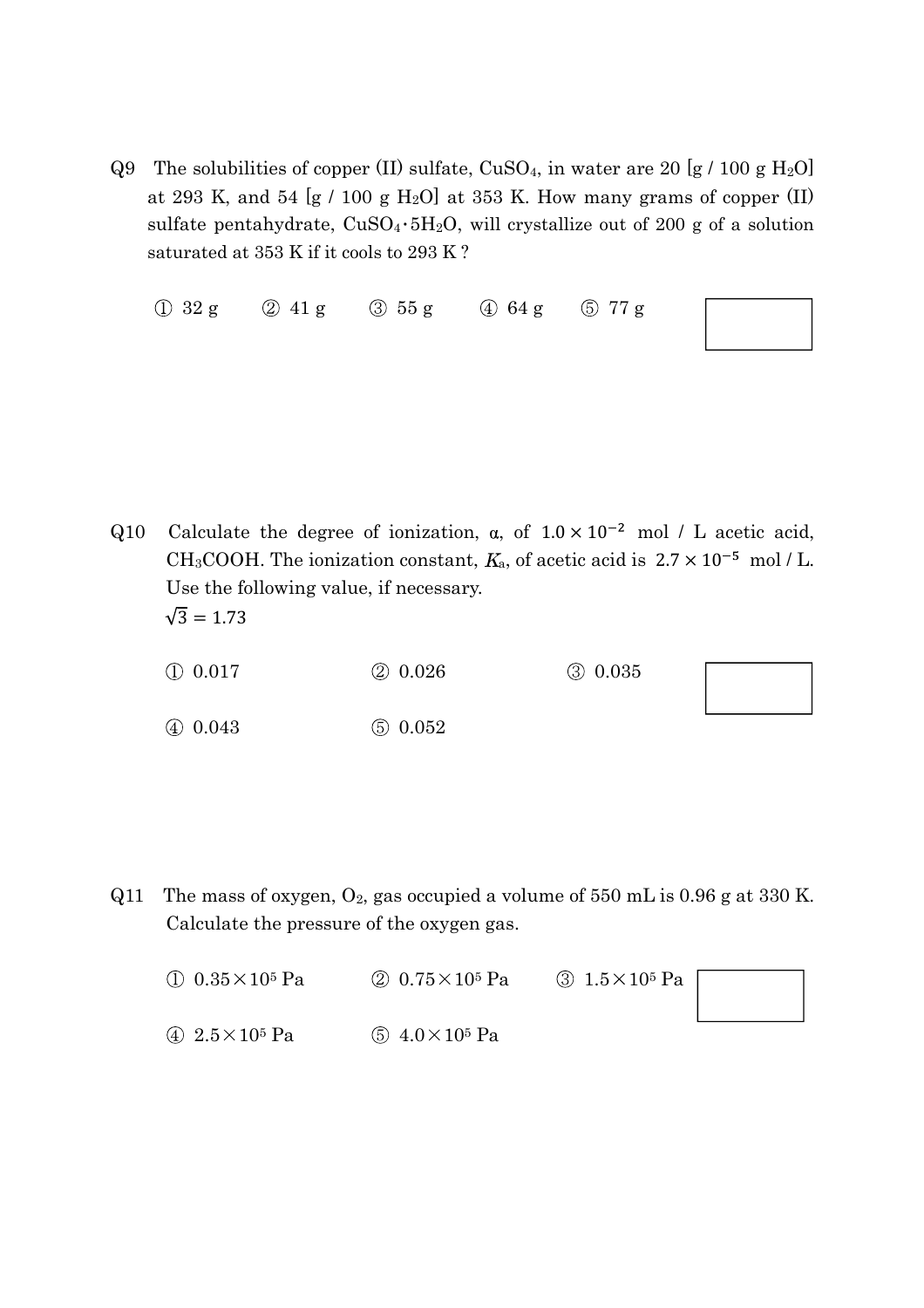Q9 The solubilities of copper (II) sulfate,  $CuSO<sub>4</sub>$ , in water are 20 [g / 100 g H<sub>2</sub>O] at 293 K, and 54  $[g / 100 g H_2O]$  at 353 K. How many grams of copper (II) sulfate pentahydrate,  $CuSO_4 \cdot 5H_2O$ , will crystallize out of 200 g of a solution saturated at 353 K if it cools to 293 K ?

| $\bigcirc$ 32 g | 2 41 g | $\circled{3}$ 55 g | $\oplus$ 64 g | <b>577g</b> |
|-----------------|--------|--------------------|---------------|-------------|
|                 |        |                    |               |             |

Q10 Calculate the degree of ionization,  $\alpha$ , of  $1.0 \times 10^{-2}$  mol / L acetic acid, CH<sub>3</sub>COOH. The ionization constant,  $K_a$ , of acetic acid is  $2.7 \times 10^{-5}$  mol / L. Use the following value, if necessary.  $\sqrt{3} = 1.73$ 

 0.017 0.026 0.035 0.043 0.052

Q11 The mass of oxygen,  $O_2$ , gas occupied a volume of 550 mL is 0.96 g at 330 K. Calculate the pressure of the oxygen gas.

| (1) $0.35 \times 10^5$ Pa | (2) $0.75 \times 10^5$ Pa | $\circled{3}$ 1.5 $\times$ 10 <sup>5</sup> Pa |  |
|---------------------------|---------------------------|-----------------------------------------------|--|
|                           |                           |                                               |  |
| 4 $2.5 \times 10^5$ Pa    | (5) $4.0 \times 10^5$ Pa  |                                               |  |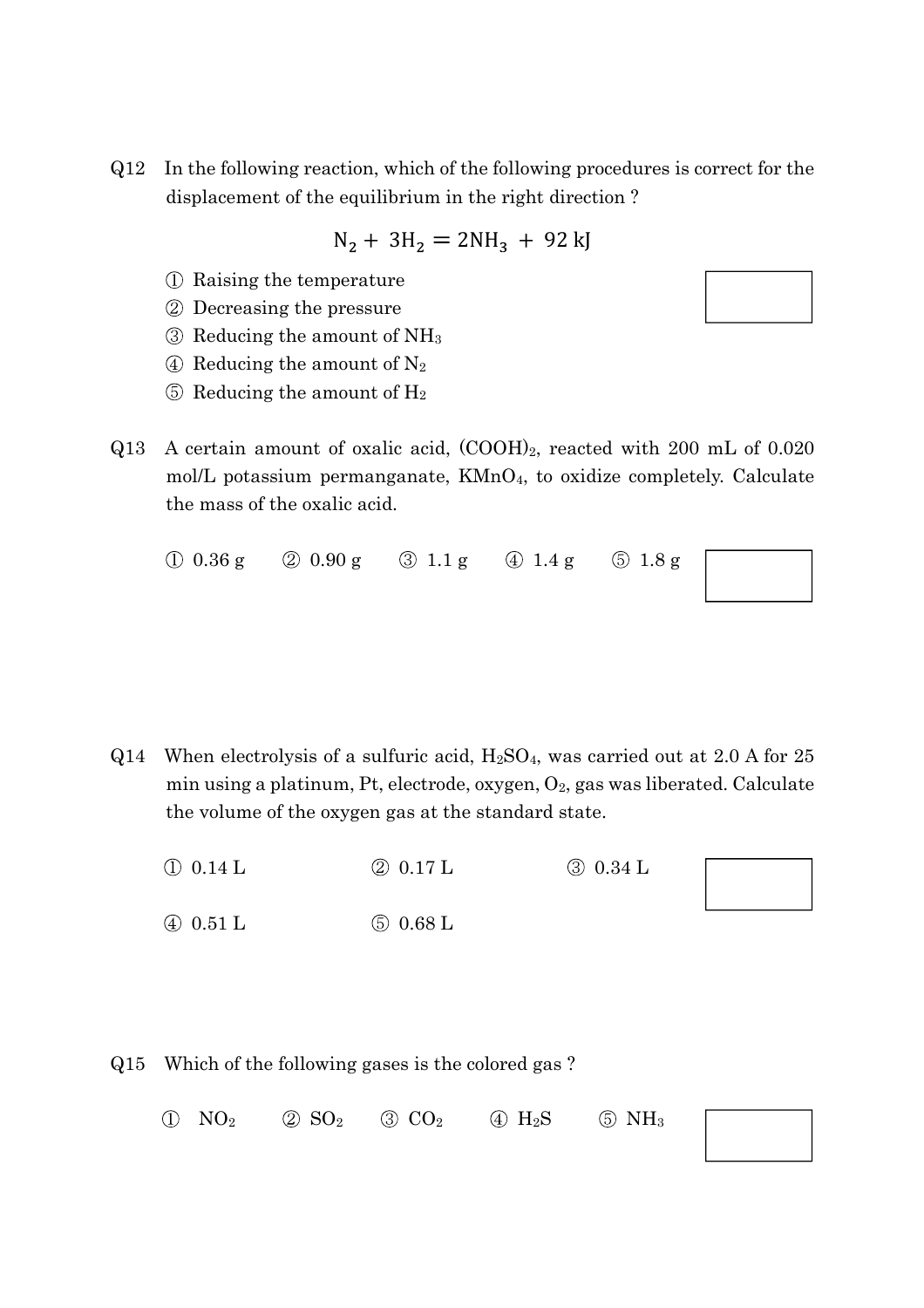Q12 In the following reaction, which of the following procedures is correct for the displacement of the equilibrium in the right direction ?

$$
N_2 + 3H_2 = 2NH_3 + 92 \, kJ
$$

- Raising the temperature
- Decreasing the pressure
- $\circled{3}$  Reducing the amount of NH<sub>3</sub>
- $\textcircled{4}$  Reducing the amount of N<sub>2</sub>
- $\circled{5}$  Reducing the amount of H<sub>2</sub>
- Q13 A certain amount of oxalic acid, (COOH)2, reacted with 200 mL of 0.020 mol/L potassium permanganate,  $KMnO<sub>4</sub>$ , to oxidize completely. Calculate the mass of the oxalic acid.
	- $\bigcirc$  0.36 g  $\bigcirc$  0.90 g  $\bigcirc$  1.1 g  $\bigcirc$  1.4 g  $\bigcirc$  1.8 g

- $Q14$  When electrolysis of a sulfuric acid,  $H_2SO_4$ , was carried out at 2.0 A for 25 min using a platinum, Pt, electrode, oxygen,  $O_2$ , gas was liberated. Calculate the volume of the oxygen gas at the standard state.
	- $(1)$  0.14 L  $(2)$  0.17 L  $(3)$  0.34 L
	- $\overline{4}$  0.51 L  $\overline{5}$  0.68 L
- Q15 Which of the following gases is the colored gas ?
	- $(1)$  NO<sub>2</sub>  $(2)$  SO<sub>2</sub>  $(3)$  CO<sub>2</sub>  $(4)$  H<sub>2</sub>S  $(5)$  NH<sub>3</sub>